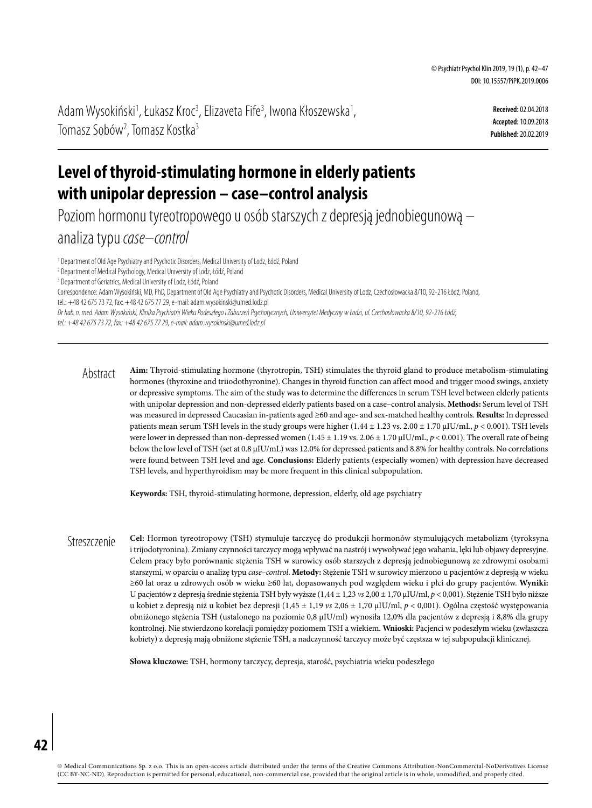Adam Wysokiński<sup>1</sup>, Łukasz Kroc<sup>3</sup>, Elizaveta Fife<sup>3</sup>, Iwona Kłoszewska<sup>1</sup>, Tomasz Sobów<sup>2</sup>, Tomasz Kostka<sup>3</sup>

**Received:** 02.04.2018 **Accepted:** 10.09.2018 **Published:** 20.02.2019

# **Level of thyroid-stimulating hormone in elderly patients with unipolar depression – case–control analysis**

Poziom hormonu tyreotropowego u osób starszych z depresją jednobiegunową – analiza typu *case–control*

<sup>1</sup> Department of Old Age Psychiatry and Psychotic Disorders, Medical University of Lodz, Łódź, Poland

2 Department of Medical Psychology, Medical University of Lodz, Łódź, Poland

<sup>3</sup> Department of Geriatrics, Medical University of Lodz, Łódź, Poland

Correspondence: Adam Wysokiński, MD, PhD, Department of Old Age Psychiatry and Psychotic Disorders, Medical University of Lodz, Czechosłowacka 8/10, 92-216 Łódź, Poland, tel.: +48 42 675 73 72, fax: +48 42 675 77 29, e-mail: [adam.wysokinski@umed.lodz.pl](mailto:adam.wysokinski@umed.lodz.pl)

*Dr hab. n. med. Adam Wysokiński, Klinika Psychiatrii Wieku Podeszłego iZaburzeń Psychotycznych, Uniwersytet Medyczny w Łodzi, ul. Czechosłowacka 8/10, 92-216 Łódź,* 

*tel.: +48 42 675 73 72, fax: +48 42 675 77 29, e-mail: [adam.wysokinski@umed.lodz.pl](mailto:adam.wysokinski@umed.lodz.pl)*

**Aim:** Thyroid-stimulating hormone (thyrotropin, TSH) stimulates the thyroid gland to produce metabolism-stimulating hormones (thyroxine and triiodothyronine). Changes in thyroid function can affect mood and trigger mood swings, anxiety or depressive symptoms. The aim of the study was to determine the differences in serum TSH level between elderly patients with unipolar depression and non-depressed elderly patients based on a case–control analysis. **Methods:** Serum level of TSH was measured in depressed Caucasian in-patients aged ≥60 and age- and sex-matched healthy controls. **Results:** In depressed patients mean serum TSH levels in the study groups were higher (1.44 ± 1.23 vs. 2.00 ± 1.70 μIU/mL, *p* < 0.001). TSH levels were lower in depressed than non-depressed women (1.45 ± 1.19 vs. 2.06 ± 1.70 μIU/mL, *p* < 0.001). The overall rate of being below the low level of TSH (set at 0.8 μIU/mL) was 12.0% for depressed patients and 8.8% for healthy controls. No correlations were found between TSH level and age. **Conclusions:** Elderly patients (especially women) with depression have decreased TSH levels, and hyperthyroidism may be more frequent in this clinical subpopulation. Abstract

**Keywords:** TSH, thyroid-stimulating hormone, depression, elderly, old age psychiatry

**Cel:** Hormon tyreotropowy (TSH) stymuluje tarczycę do produkcji hormonów stymulujących metabolizm (tyroksyna i trijodotyronina). Zmiany czynności tarczycy mogą wpływać na nastrój i wywoływać jego wahania, lęki lub objawy depresyjne. Celem pracy było porównanie stężenia TSH w surowicy osób starszych z depresją jednobiegunową ze zdrowymi osobami starszymi, w oparciu o analizę typu *case–control*. **Metody:** Stężenie TSH w surowicy mierzono u pacjentów z depresją w wieku ≥60 lat oraz u zdrowych osób w wieku ≥60 lat, dopasowanych pod względem wieku i płci do grupy pacjentów. **Wyniki:** U pacjentów z depresją średnie stężenia TSH były wyższe (1,44 ± 1,23 *vs* 2,00 ± 1,70 μIU/ml, *p* < 0,001). Stężenie TSH było niższe u kobiet z depresją niż u kobiet bez depresji (1,45 ± 1,19 *vs* 2,06 ± 1,70 μIU/ml, *p* < 0,001). Ogólna częstość występowania obniżonego stężenia TSH (ustalonego na poziomie 0,8 μIU/ml) wynosiła 12,0% dla pacjentów z depresją i 8,8% dla grupy kontrolnej. Nie stwierdzono korelacji pomiędzy poziomem TSH a wiekiem. **Wnioski:** Pacjenci w podeszłym wieku (zwłaszcza kobiety) z depresją mają obniżone stężenie TSH, a nadczynność tarczycy może być częstsza w tej subpopulacji klinicznej. Streszczenie

**Słowa kluczowe:** TSH, hormony tarczycy, depresja, starość, psychiatria wieku podeszłego

**42**

© Medical Communications Sp. z o.o. This is an open-access article distributed under the terms of the Creative Commons Attribution-NonCommercial-NoDerivatives License (CC BY-NC-ND). Reproduction is permitted for personal, educational, non-commercial use, provided that the original article is in whole, unmodified, and properly cited.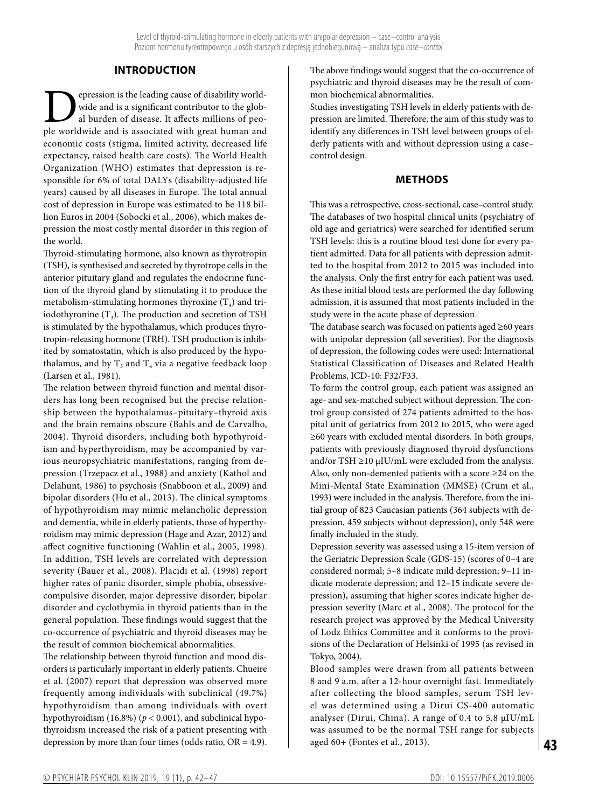## **INTRODUCTION**

**Example 18 Separat** is the leading cause of disability world-<br>al burden of disease. It affects millions of peo-<br>ple worldwide and is associated with great human and wide and is a significant contributor to the global burden of disease. It affects millions of people worldwide and is associated with great human and economic costs (stigma, limited activity, decreased life expectancy, raised health care costs). The World Health Organization (WHO) estimates that depression is responsible for 6% of total DALYs (disability-adjusted life years) caused by all diseases in Europe. The total annual cost of depression in Europe was estimated to be 118 billion Euros in 2004 (Sobocki et al., 2006), which makes depression the most costly mental disorder in this region of the world.

Thyroid-stimulating hormone, also known as thyrotropin (TSH), is synthesised and secreted by thyrotrope cells in the anterior pituitary gland and regulates the endocrine function of the thyroid gland by stimulating it to produce the metabolism-stimulating hormones thyroxine  $(T<sub>4</sub>)$  and triiodothyronine  $(T_3)$ . The production and secretion of TSH is stimulated by the hypothalamus, which produces thyrotropin-releasing hormone (TRH). TSH production is inhibited by somatostatin, which is also produced by the hypothalamus, and by  $T_3$  and  $T_4$  via a negative feedback loop (Larsen et al., 1981).

The relation between thyroid function and mental disorders has long been recognised but the precise relationship between the hypothalamus–pituitary–thyroid axis and the brain remains obscure (Bahls and de Carvalho, 2004). Thyroid disorders, including both hypothyroidism and hyperthyroidism, may be accompanied by various neuropsychiatric manifestations, ranging from depression (Trzepacz et al., 1988) and anxiety (Kathol and Delahunt, 1986) to psychosis (Snabboon et al., 2009) and bipolar disorders (Hu et al., 2013). The clinical symptoms of hypothyroidism may mimic melancholic depression and dementia, while in elderly patients, those of hyperthyroidism may mimic depression (Hage and Azar, 2012) and affect cognitive functioning (Wahlin et al., 2005, 1998). In addition, TSH levels are correlated with depression severity (Bauer et al., 2008). Placidi et al. (1998) report higher rates of panic disorder, simple phobia, obsessivecompulsive disorder, major depressive disorder, bipolar disorder and cyclothymia in thyroid patients than in the general population. These findings would suggest that the co-occurrence of psychiatric and thyroid diseases may be the result of common biochemical abnormalities.

The relationship between thyroid function and mood disorders is particularly important in elderly patients. Chueire et al. (2007) report that depression was observed more frequently among individuals with subclinical (49.7%) hypothyroidism than among individuals with overt hypothyroidism (16.8%) (*p* < 0.001), and subclinical hypothyroidism increased the risk of a patient presenting with depression by more than four times (odds ratio, OR = 4.9).

The above findings would suggest that the co-occurrence of psychiatric and thyroid diseases may be the result of common biochemical abnormalities.

Studies investigating TSH levels in elderly patients with depression are limited. Therefore, the aim of this study was to identify any differences in TSH level between groups of elderly patients with and without depression using a case– control design.

#### **METHODS**

This was a retrospective, cross-sectional, case–control study. The databases of two hospital clinical units (psychiatry of old age and geriatrics) were searched for identified serum TSH levels: this is a routine blood test done for every patient admitted. Data for all patients with depression admitted to the hospital from 2012 to 2015 was included into the analysis. Only the first entry for each patient was used. As these initial blood tests are performed the day following admission, it is assumed that most patients included in the study were in the acute phase of depression.

The database search was focused on patients aged ≥60 years with unipolar depression (all severities). For the diagnosis of depression, the following codes were used: International Statistical Classification of Diseases and Related Health Problems, ICD-10: F32/F33.

To form the control group, each patient was assigned an age- and sex-matched subject without depression. The control group consisted of 274 patients admitted to the hospital unit of geriatrics from 2012 to 2015, who were aged ≥60 years with excluded mental disorders. In both groups, patients with previously diagnosed thyroid dysfunctions and/or TSH  $\geq$ 10 μIU/mL were excluded from the analysis. Also, only non-demented patients with a score ≥24 on the Mini-Mental State Examination (MMSE) (Crum et al., 1993) were included in the analysis. Therefore, from the initial group of 823 Caucasian patients (364 subjects with depression, 459 subjects without depression), only 548 were finally included in the study.

Depression severity was assessed using a 15-item version of the Geriatric Depression Scale (GDS-15) (scores of 0–4 are considered normal; 5–8 indicate mild depression; 9–11 indicate moderate depression; and 12–15 indicate severe depression), assuming that higher scores indicate higher depression severity (Marc et al., 2008). The protocol for the research project was approved by the Medical University of Lodz Ethics Committee and it conforms to the provisions of the Declaration of Helsinki of 1995 (as revised in Tokyo, 2004).

Blood samples were drawn from all patients between 8 and 9 a.m. after a 12-hour overnight fast. Immediately after collecting the blood samples, serum TSH level was determined using a Dirui CS-400 automatic analyser (Dirui, China). A range of 0.4 to 5.8 μIU/mL was assumed to be the normal TSH range for subjects aged 60+ (Fontes et al., 2013).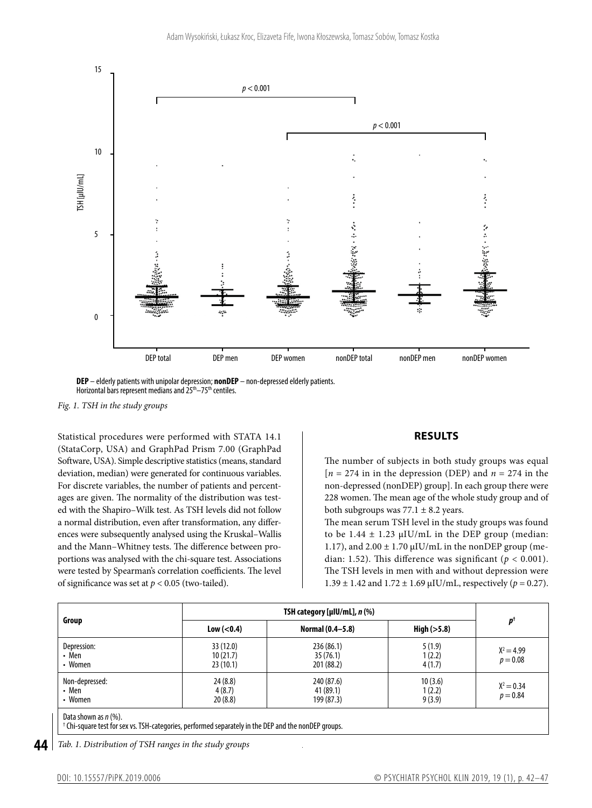



#### *Fig. 1. TSH in the study groups*

Statistical procedures were performed with STATA 14.1 (StataCorp, USA) and GraphPad Prism 7.00 (GraphPad Software, USA). Simple descriptive statistics (means, standard deviation, median) were generated for continuous variables. For discrete variables, the number of patients and percentages are given. The normality of the distribution was tested with the Shapiro–Wilk test. As TSH levels did not follow a normal distribution, even after transformation, any differences were subsequently analysed using the Kruskal–Wallis and the Mann–Whitney tests. The difference between proportions was analysed with the chi-square test. Associations were tested by Spearman's correlation coefficients. The level of significance was set at  $p < 0.05$  (two-tailed).

## **RESULTS**

The number of subjects in both study groups was equal  $[n = 274$  in in the depression (DEP) and  $n = 274$  in the non-depressed (nonDEP) group]. In each group there were 228 women. The mean age of the whole study group and of both subgroups was  $77.1 \pm 8.2$  years.

The mean serum TSH level in the study groups was found to be  $1.44 \pm 1.23 \mu$ IU/mL in the DEP group (median: 1.17), and  $2.00 \pm 1.70 \mu$ IU/mL in the nonDEP group (median: 1.52). This difference was significant ( $p < 0.001$ ). The TSH levels in men with and without depression were  $1.39 \pm 1.42$  and  $1.72 \pm 1.69$   $\mu$ IU/mL, respectively ( $p = 0.27$ ).

| Group                              | TSH category [µIU/mL], $n$ (%)                                                                                  |                                       |                             |                            |
|------------------------------------|-----------------------------------------------------------------------------------------------------------------|---------------------------------------|-----------------------------|----------------------------|
|                                    | Low (< 0.4)                                                                                                     | Normal (0.4–5.8)                      | High $(>5.8)$               | $p^{\dagger}$              |
| Depression:<br>• Men<br>• Women    | 33 (12.0)<br>10(21.7)<br>23(10.1)                                                                               | 236 (86.1)<br>35(76.1)<br>201 (88.2)  | 5(1.9)<br>1(2.2)<br>4(1.7)  | $X^2 = 4.99$<br>$p = 0.08$ |
| Non-depressed:<br>• Men<br>• Women | 24(8.8)<br>4(8.7)<br>20(8.8)                                                                                    | 240 (87.6)<br>41 (89.1)<br>199 (87.3) | 10(3.6)<br>1(2.2)<br>9(3.9) | $X^2 = 0.34$<br>$p = 0.84$ |
| Data shown as $n$ (%).             | <sup>†</sup> Chi-square test for sex vs. TSH-categories, performed separately in the DEP and the nonDEP groups. |                                       |                             |                            |

**44** *Tab. 1. Distribution of TSH ranges in the study groups*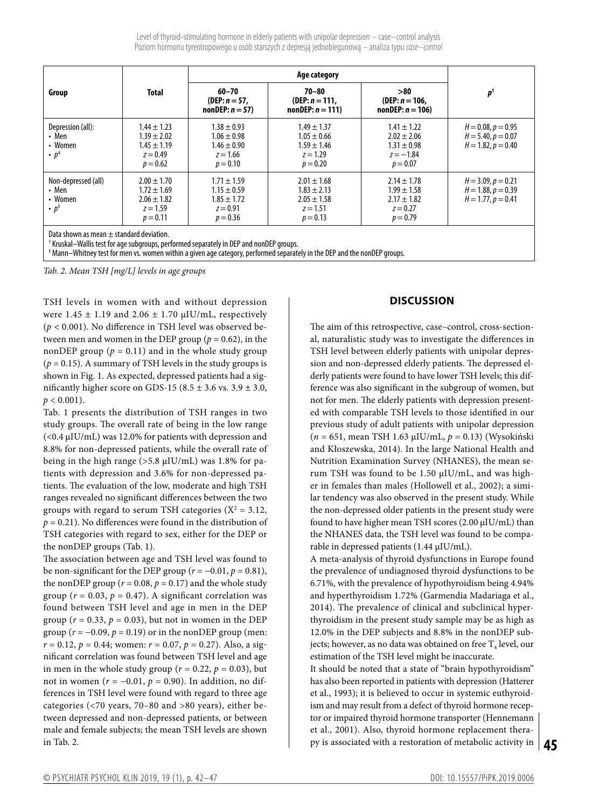Level of thyroid-stimulating hormone in elderly patients with unipolar depression – case–control analysis Poziom hormonu tyreotropowego uosób starszych zdepresją jednobiegunową – analiza typu *case–control*

|                                                                 |                                                                                   | Age category                                                                      |                                                                                   |                                                                                    |                                                                         |  |  |
|-----------------------------------------------------------------|-----------------------------------------------------------------------------------|-----------------------------------------------------------------------------------|-----------------------------------------------------------------------------------|------------------------------------------------------------------------------------|-------------------------------------------------------------------------|--|--|
| Group                                                           | <b>Total</b>                                                                      | $60 - 70$<br>(DEP: $n = 57$ ,<br>$nonDEF: n = 57$                                 | $70 - 80$<br>(DEP: $n = 111$ .<br>$nonDEF: n = 111$                               | >80<br>(DEP: $n = 106$ ,<br>$nonDEF: n = 106$                                      | $p^{\dagger}$                                                           |  |  |
| Depression (all):<br>• Men<br>• Women<br>$\cdot p^*$            | $1.44 \pm 1.23$<br>$1.39 \pm 2.02$<br>$1.45 \pm 1.19$<br>$z = 0.49$<br>$p = 0.62$ | $1.38 \pm 0.93$<br>$1.06 \pm 0.98$<br>$1.46 \pm 0.90$<br>$z = 1.66$<br>$p = 0.10$ | $1.49 \pm 1.37$<br>$1.05 \pm 0.66$<br>$1.59 \pm 1.46$<br>$z = 1.29$<br>$p = 0.20$ | $1.41 \pm 1.22$<br>$2.02 \pm 2.06$<br>$1.31 \pm 0.98$<br>$z = -1.84$<br>$p = 0.07$ | $H = 0.08, p = 0.95$<br>$H = 5.40, p = 0.07$<br>$H = 1.82, p = 0.40$    |  |  |
| Non-depressed (all)<br>• Men<br>• Women<br>$\cdot p^{\ddagger}$ | $2.00 \pm 1.70$<br>$1.72 \pm 1.69$<br>$2.06 \pm 1.82$<br>$z = 1.59$<br>$p = 0.11$ | $1.71 \pm 1.59$<br>$1.15 \pm 0.59$<br>$1.85 \pm 1.72$<br>$z = 0.91$<br>$p = 0.36$ | $2.01 \pm 1.68$<br>$1.83 \pm 2.13$<br>$2.05 \pm 1.58$<br>$z = 1.51$<br>$p = 0.13$ | $2.14 \pm 1.78$<br>$1.99 \pm 1.58$<br>$2.17 \pm 1.82$<br>$z = 0.27$<br>$p = 0.79$  | $H = 3.09, p = 0.21$<br>$H = 1.88, p = 0.39$<br>$H = 1.77$ , $p = 0.41$ |  |  |
| Data shown as mean $\pm$ standard deviation.                    |                                                                                   |                                                                                   |                                                                                   |                                                                                    |                                                                         |  |  |

† Kruskal–Wallis test for age subgroups, performed separately in DEP and nonDEP groups.

‡ Mann–Whitney test for men vs. women within agiven age category, performed separately in the DEP and the nonDEP groups.

*Tab. 2. Mean TSH [mg/L] levels in age groups*

TSH levels in women with and without depression were  $1.45 \pm 1.19$  and  $2.06 \pm 1.70$   $\mu$ IU/mL, respectively (*p* < 0.001). No difference in TSH level was observed between men and women in the DEP group ( $p = 0.62$ ), in the nonDEP group ( $p = 0.11$ ) and in the whole study group  $(p = 0.15)$ . A summary of TSH levels in the study groups is shown in Fig. 1. As expected, depressed patients had a significantly higher score on GDS-15 (8.5  $\pm$  3.6 vs. 3.9  $\pm$  3.0,  $p < 0.001$ ).

Tab. 1 presents the distribution of TSH ranges in two study groups. The overall rate of being in the low range (<0.4 μIU/mL) was 12.0% for patients with depression and 8.8% for non-depressed patients, while the overall rate of being in the high range (>5.8 μIU/mL) was 1.8% for patients with depression and 3.6% for non-depressed patients. The evaluation of the low, moderate and high TSH ranges revealed no significant differences between the two groups with regard to serum TSH categories ( $X^2 = 3.12$ ,  $p = 0.21$ ). No differences were found in the distribution of TSH categories with regard to sex, either for the DEP or the nonDEP groups (Tab. 1).

The association between age and TSH level was found to be non-significant for the DEP group  $(r = -0.01, p = 0.81)$ , the nonDEP group ( $r = 0.08$ ,  $p = 0.17$ ) and the whole study group ( $r = 0.03$ ,  $p = 0.47$ ). A significant correlation was found between TSH level and age in men in the DEP group ( $r = 0.33$ ,  $p = 0.03$ ), but not in women in the DEP group ( $r = -0.09$ ,  $p = 0.19$ ) or in the nonDEP group (men:  $r = 0.12$ ,  $p = 0.44$ ; women:  $r = 0.07$ ,  $p = 0.27$ ). Also, a significant correlation was found between TSH level and age in men in the whole study group ( $r = 0.22$ ,  $p = 0.03$ ), but not in women (*r* = −0.01, *p* = 0.90). In addition, no differences in TSH level were found with regard to three age categories (<70 years, 70–80 and >80 years), either between depressed and non-depressed patients, or between male and female subjects; the mean TSH levels are shown in Tab. 2.

### **DISCUSSION**

The aim of this retrospective, case–control, cross-sectional, naturalistic study was to investigate the differences in TSH level between elderly patients with unipolar depression and non-depressed elderly patients. The depressed elderly patients were found to have lower TSH levels; this difference was also significant in the subgroup of women, but not for men. The elderly patients with depression presented with comparable TSH levels to those identified in our previous study of adult patients with unipolar depression (*n* = 651, mean TSH 1.63 μIU/mL, *p* = 0.13) (Wysokiński and Kłoszewska, 2014). In the large National Health and Nutrition Examination Survey (NHANES), the mean serum TSH was found to be 1.50 μIU/mL, and was higher in females than males (Hollowell et al., 2002); a similar tendency was also observed in the present study. While the non-depressed older patients in the present study were found to have higher mean TSH scores (2.00 μIU/mL) than the NHANES data, the TSH level was found to be comparable in depressed patients (1.44 μIU/mL).

A meta-analysis of thyroid dysfunctions in Europe found the prevalence of undiagnosed thyroid dysfunctions to be 6.71%, with the prevalence of hypothyroidism being 4.94% and hyperthyroidism 1.72% (Garmendia Madariaga et al., 2014). The prevalence of clinical and subclinical hyperthyroidism in the present study sample may be as high as 12.0% in the DEP subjects and 8.8% in the nonDEP subjects; however, as no data was obtained on free  $T_4$  level, our estimation of the TSH level might be inaccurate.

**45** py is associated with a restoration of metabolic activity in It should be noted that a state of "brain hypothyroidism" has also been reported in patients with depression (Hatterer et al., 1993); it is believed to occur in systemic euthyroidism and may result from a defect of thyroid hormone receptor or impaired thyroid hormone transporter (Hennemann et al., 2001). Also, thyroid hormone replacement thera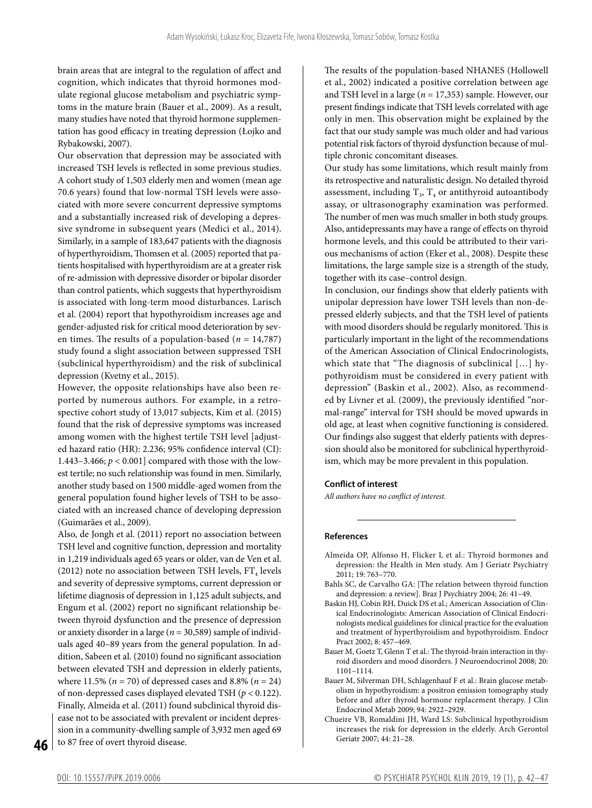brain areas that are integral to the regulation of affect and cognition, which indicates that thyroid hormones modulate regional glucose metabolism and psychiatric symptoms in the mature brain (Bauer et al., 2009). As a result, many studies have noted that thyroid hormone supplementation has good efficacy in treating depression (Łojko and Rybakowski, 2007).

Our observation that depression may be associated with increased TSH levels is reflected in some previous studies. A cohort study of 1,503 elderly men and women (mean age 70.6 years) found that low-normal TSH levels were associated with more severe concurrent depressive symptoms and a substantially increased risk of developing a depressive syndrome in subsequent years (Medici et al., 2014). Similarly, in a sample of 183,647 patients with the diagnosis of hyperthyroidism, Thomsen et al. (2005) reported that patients hospitalised with hyperthyroidism are at a greater risk of re-admission with depressive disorder or bipolar disorder than control patients, which suggests that hyperthyroidism is associated with long-term mood disturbances. Larisch et al. (2004) report that hypothyroidism increases age and gender-adjusted risk for critical mood deterioration by seven times. The results of a population-based  $(n = 14,787)$ study found a slight association between suppressed TSH (subclinical hyperthyroidism) and the risk of subclinical depression (Kvetny et al., 2015).

However, the opposite relationships have also been reported by numerous authors. For example, in a retrospective cohort study of 13,017 subjects, Kim et al. (2015) found that the risk of depressive symptoms was increased among women with the highest tertile TSH level [adjusted hazard ratio (HR): 2.236; 95% confidence interval (CI): 1.443–3.466; *p* < 0.001] compared with those with the lowest tertile; no such relationship was found in men. Similarly, another study based on 1500 middle-aged women from the general population found higher levels of TSH to be associated with an increased chance of developing depression (Guimarães et al., 2009).

Also, de Jongh et al. (2011) report no association between TSH level and cognitive function, depression and mortality in 1,219 individuals aged 65 years or older, van de Ven et al. (2012) note no association between TSH levels,  $FT_4$  levels and severity of depressive symptoms, current depression or lifetime diagnosis of depression in 1,125 adult subjects, and Engum et al. (2002) report no significant relationship between thyroid dysfunction and the presence of depression or anxiety disorder in a large (*n* = 30,589) sample of individuals aged 40–89 years from the general population. In addition, Sabeen et al. (2010) found no significant association between elevated TSH and depression in elderly patients, where 11.5% (*n* = 70) of depressed cases and 8.8% (*n* = 24) of non-depressed cases displayed elevated TSH (*p* < 0.122). Finally, Almeida et al. (2011) found subclinical thyroid disease not to be associated with prevalent or incident depression in a community-dwelling sample of 3,932 men aged 69 to 87 free of overt thyroid disease.

The results of the population-based NHANES (Hollowell et al., 2002) indicated a positive correlation between age and TSH level in a large (*n* = 17,353) sample. However, our present findings indicate that TSH levels correlated with age only in men. This observation might be explained by the fact that our study sample was much older and had various potential risk factors of thyroid dysfunction because of multiple chronic concomitant diseases.

Our study has some limitations, which result mainly from its retrospective and naturalistic design. No detailed thyroid assessment, including  $T_3$ ,  $T_4$  or antithyroid autoantibody assay, or ultrasonography examination was performed. The number of men was much smaller in both study groups. Also, antidepressants may have a range of effects on thyroid hormone levels, and this could be attributed to their various mechanisms of action (Eker et al., 2008). Despite these limitations, the large sample size is a strength of the study, together with its case–control design.

In conclusion, our findings show that elderly patients with unipolar depression have lower TSH levels than non-depressed elderly subjects, and that the TSH level of patients with mood disorders should be regularly monitored. This is particularly important in the light of the recommendations of the American Association of Clinical Endocrinologists, which state that "The diagnosis of subclinical […] hypothyroidism must be considered in every patient with depression" (Baskin et al., 2002). Also, as recommended by Livner et al. (2009), the previously identified "normal-range" interval for TSH should be moved upwards in old age, at least when cognitive functioning is considered. Our findings also suggest that elderly patients with depression should also be monitored for subclinical hyperthyroidism, which may be more prevalent in this population.

#### **Conflict of interest**

*All authors have no conflict of interest.*

#### **References**

- Almeida OP, Alfonso H, Flicker L et al.: Thyroid hormones and depression: the Health in Men study. Am J Geriatr Psychiatry 2011; 19: 763–770.
- Bahls SC, de Carvalho GA: [The relation between thyroid function and depression: a review]. Braz J Psychiatry 2004; 26: 41–49.
- Baskin HJ, Cobin RH, Duick DS et al.; American Association of Clinical Endocrinologists: American Association of Clinical Endocrinologists medical guidelines for clinical practice for the evaluation and treatment of hyperthyroidism and hypothyroidism. Endocr Pract 2002; 8: 457–469.
- Bauer M, Goetz T, Glenn T et al.: The thyroid-brain interaction in thyroid disorders and mood disorders. J Neuroendocrinol 2008; 20: 1101–1114.
- Bauer M, Silverman DH, Schlagenhauf F et al.: Brain glucose metabolism in hypothyroidism: a positron emission tomography study before and after thyroid hormone replacement therapy. J Clin Endocrinol Metab 2009; 94: 2922–2929.
- Chueire VB, Romaldini JH, Ward LS: Subclinical hypothyroidism increases the risk for depression in the elderly. Arch Gerontol Geriatr 2007; 44: 21–28.